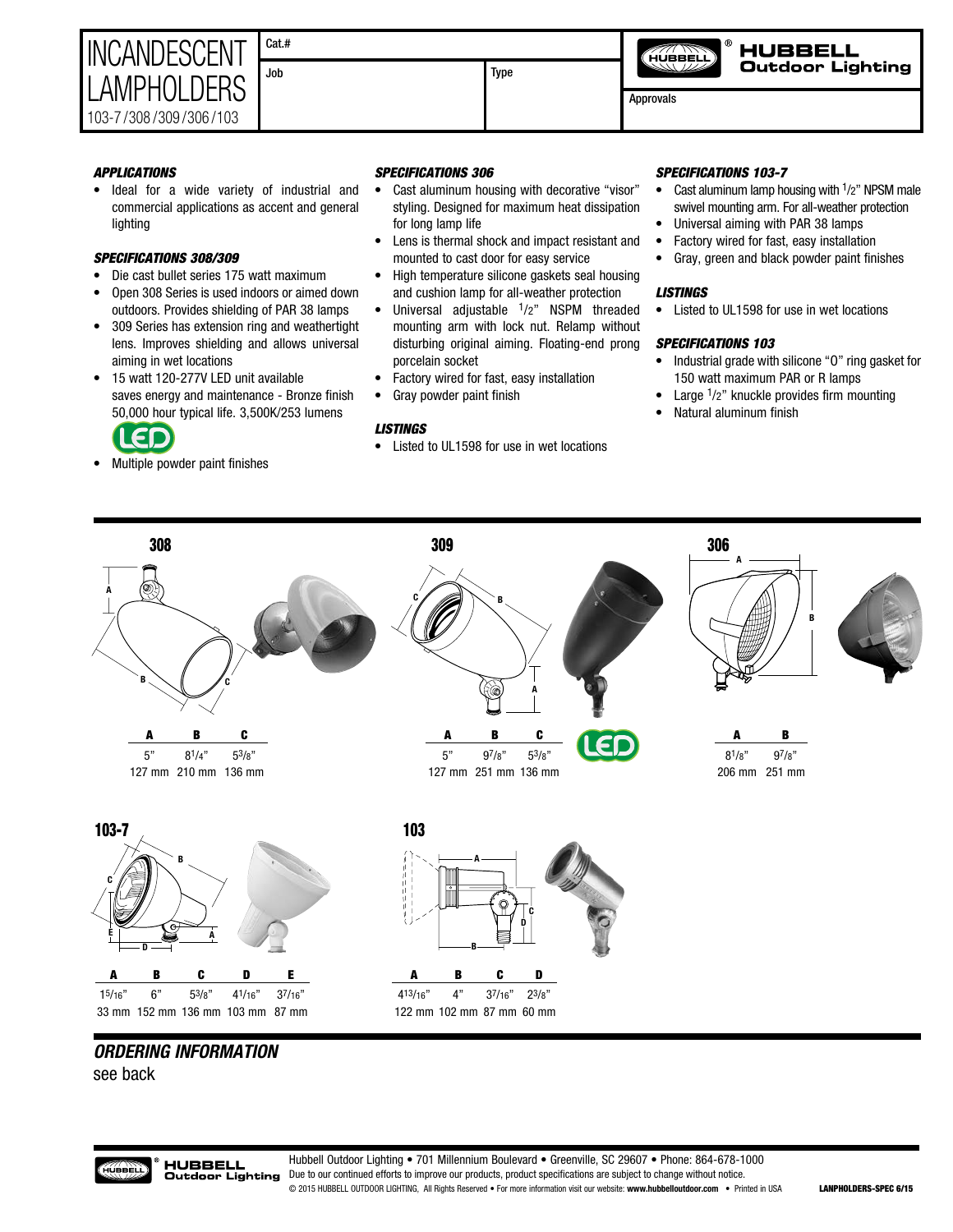| <b>INCANDESCENT</b>   | Cat.# |
|-----------------------|-------|
| LAMPHOLDERS           |       |
|                       |       |
| 103-7/308/309/306/103 |       |

Job Type

Approvals

HÚBBÈLÌ

**HUBBELL Outdoor Lighting** 

*APPLICATIONS*

• Ideal for a wide variety of industrial and commercial applications as accent and general lighting

# *SPECIFICATIONS 308/309*

- Die cast bullet series 175 watt maximum
- Open 308 Series is used indoors or aimed down outdoors. Provides shielding of PAR 38 lamps
- 309 Series has extension ring and weathertight lens. Improves shielding and allows universal aiming in wet locations
- 15 watt 120-277V LED unit available saves energy and maintenance - Bronze finish 50,000 hour typical life. 3,500K/253 lumens



• Multiple powder paint finishes

## *SPECIFICATIONS 306*

- Cast aluminum housing with decorative "visor" styling. Designed for maximum heat dissipation for long lamp life
- Lens is thermal shock and impact resistant and mounted to cast door for easy service
- High temperature silicone gaskets seal housing and cushion lamp for all-weather protection
- Universal adjustable 1/2" NSPM threaded mounting arm with lock nut. Relamp without disturbing original aiming. Floating-end prong porcelain socket
- Factory wired for fast, easy installation
- Gray powder paint finish

## *LISTINGS*

• Listed to UL1598 for use in wet locations

## *SPECIFICATIONS 103-7*

- Cast aluminum lamp housing with <sup>1</sup>/2" NPSM male swivel mounting arm. For all-weather protection
- Universal aiming with PAR 38 lamps
- Factory wired for fast, easy installation
- Gray, green and black powder paint finishes

## *LISTINGS*

• Listed to UL1598 for use in wet locations

# *SPECIFICATIONS 103*

- Industrial grade with silicone "O" ring gasket for 150 watt maximum PAR or R lamps
- Large 1/2" knuckle provides firm mounting
- Natural aluminum finish



# *ORDERING INFORMATION*

see back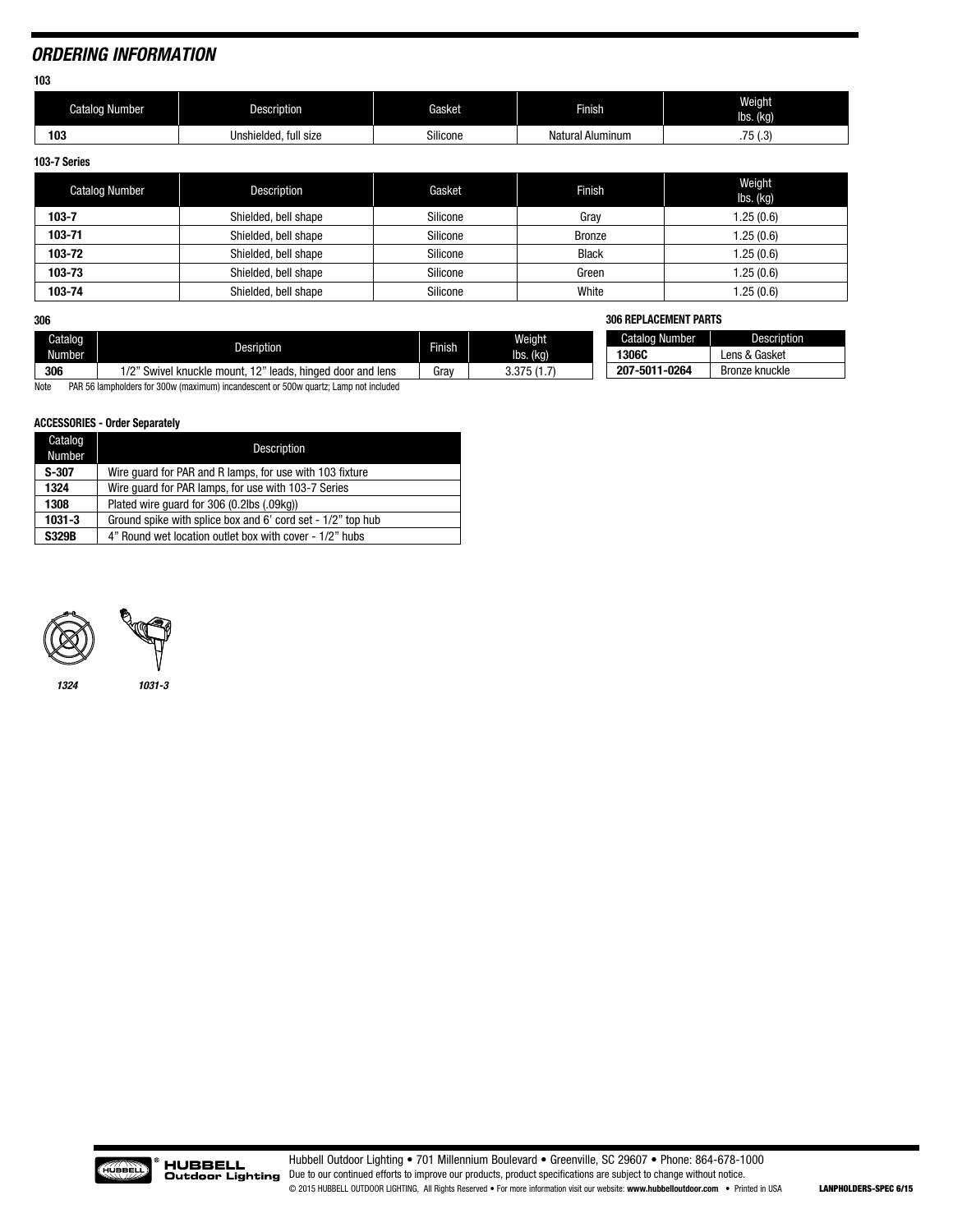# *ORDERING INFORMATION*

**103**

| Catalog<br>Number | <b>Description</b>         | Gasket             | Finish           | Weight<br>lbs. (kg)     |
|-------------------|----------------------------|--------------------|------------------|-------------------------|
| 103               | Unshielded, full<br>l size | $\sim$<br>Silicone | Natural Aluminum | $-$<br>2<br>ان ۱۰ تا ۱۰ |

**103-7 Series**

| <b>Catalog Number</b> | Description          | Gasket   | <b>Finish</b> | Weight<br>$\mathsf{lbs.}\left(\mathsf{kq}\right)$ |
|-----------------------|----------------------|----------|---------------|---------------------------------------------------|
| $103 - 7$             | Shielded, bell shape | Silicone | Gray          | .25(0.6)                                          |
| 103-71                | Shielded, bell shape | Silicone | <b>Bronze</b> | .25(0.6)                                          |
| 103-72                | Shielded, bell shape | Silicone | <b>Black</b>  | .25(0.6)                                          |
| 103-73                | Shielded, bell shape | Silicone | Green         | .25(0.6)                                          |
| 103-74                | Shielded, bell shape | Silicone | White         | .25(0.6)                                          |

**306**

| 306     |                                                                      |         |               | <b>306 REPLACEMENT PARTS</b> |                    |
|---------|----------------------------------------------------------------------|---------|---------------|------------------------------|--------------------|
| Catalog |                                                                      | Finish. | <b>Weight</b> | <b>Catalog Number</b>        | <b>Description</b> |
| Number  | Desription                                                           |         | lbs. (kg)     | <b>1306C</b>                 | Lens & Gasket      |
| 306     | 1/2" Swivel knuckle mount, 12" I<br>leads.<br>. hinged door and lens | Grav    | 3.375(1.7)    | 207-5011-0264                | Bronze knuckle     |

Note PAR 56 lampholders for 300w (maximum) incandescent or 500w quartz; Lamp not included

### **ACCESSORIES - Order Separately**

| Catalog<br>Number | Description                                                 |
|-------------------|-------------------------------------------------------------|
| $S-307$           | Wire quard for PAR and R lamps, for use with 103 fixture    |
| 1324              | Wire quard for PAR lamps, for use with 103-7 Series         |
| 1308              | Plated wire quard for 306 (0.2lbs (.09kg))                  |
| $1031 - 3$        | Ground spike with splice box and 6' cord set - 1/2" top hub |
| <b>S329B</b>      | 4" Round wet location outlet box with cover - 1/2" hubs     |





*1324 1031-3*